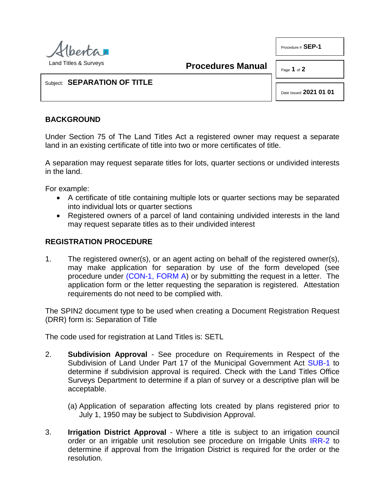

**Procedures Manual**

Page **1** of **2**

Procedure # **SEP-1**

## Subject: **SEPARATION OF TITLE**

Date Issued **2021 01 01**

## **BACKGROUND**

Under Section 75 of The Land Titles Act a registered owner may request a separate land in an existing certificate of title into two or more certificates of title.

A separation may request separate titles for lots, quarter sections or undivided interests in the land.

For example:

- A certificate of title containing multiple lots or quarter sections may be separated into individual lots or quarter sections
- Registered owners of a parcel of land containing undivided interests in the land may request separate titles as to their undivided interest

## **REGISTRATION PROCEDURE**

1. The registered owner(s), or an agent acting on behalf of the registered owner(s), may make application for separation by use of the form developed (see procedure under [\(CON-1, FORM A\)](http://www.servicealberta.ca/pdf/ltmanual/CON-1-FORMA.PDF) or by submitting the request in a letter. The application form or the letter requesting the separation is registered. Attestation requirements do not need to be complied with.

The SPIN2 document type to be used when creating a Document Registration Request (DRR) form is: Separation of Title

The code used for registration at Land Titles is: SETL

- 2. **Subdivision Approval** See procedure on Requirements in Respect of the Subdivision of Land Under Part 17 of the Municipal Government Act [SUB-1](http://www.servicealberta.ca/pdf/ltmanual/SUB-1.pdf) to determine if subdivision approval is required. Check with the Land Titles Office Surveys Department to determine if a plan of survey or a descriptive plan will be acceptable.
	- (a) Application of separation affecting lots created by plans registered prior to July 1, 1950 may be subject to Subdivision Approval.
- 3. **Irrigation District Approval** Where a title is subject to an irrigation council order or an irrigable unit resolution see procedure on Irrigable Units [IRR-2](http://www.servicealberta.ca/pdf/ltmanual/IRR-2.pdf) to determine if approval from the Irrigation District is required for the order or the resolution.